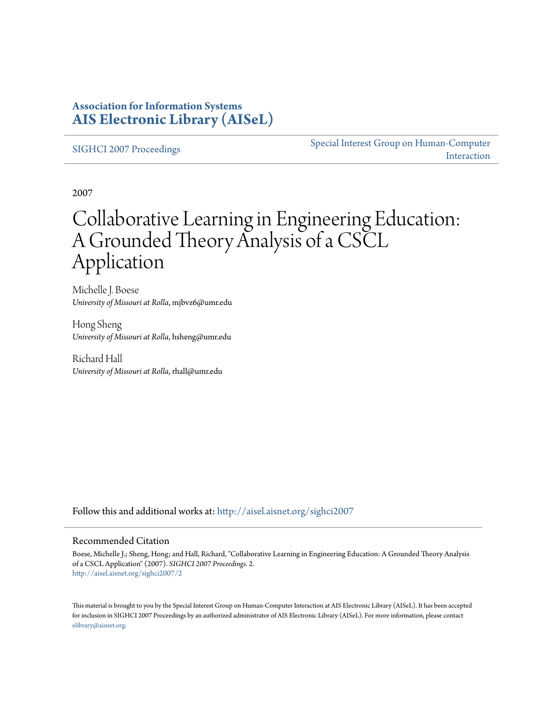### **Association for Information Systems [AIS Electronic Library \(AISeL\)](http://aisel.aisnet.org?utm_source=aisel.aisnet.org%2Fsighci2007%2F2&utm_medium=PDF&utm_campaign=PDFCoverPages)**

[SIGHCI 2007 Proceedings](http://aisel.aisnet.org/sighci2007?utm_source=aisel.aisnet.org%2Fsighci2007%2F2&utm_medium=PDF&utm_campaign=PDFCoverPages)

[Special Interest Group on Human-Computer](http://aisel.aisnet.org/sighci?utm_source=aisel.aisnet.org%2Fsighci2007%2F2&utm_medium=PDF&utm_campaign=PDFCoverPages) [Interaction](http://aisel.aisnet.org/sighci?utm_source=aisel.aisnet.org%2Fsighci2007%2F2&utm_medium=PDF&utm_campaign=PDFCoverPages)

2007

# Collaborative Learning in Engineering Education: A Grounded Theory Analysis of a CSCL Application

Michelle J. Boese *University of Missouri at Rolla*, mjbvz6@umr.edu

Hong Sheng *University of Missouri at Rolla*, hsheng@umr.edu

Richard Hall *University of Missouri at Rolla*, rhall@umr.edu

Follow this and additional works at: [http://aisel.aisnet.org/sighci2007](http://aisel.aisnet.org/sighci2007?utm_source=aisel.aisnet.org%2Fsighci2007%2F2&utm_medium=PDF&utm_campaign=PDFCoverPages)

#### Recommended Citation

Boese, Michelle J.; Sheng, Hong; and Hall, Richard, "Collaborative Learning in Engineering Education: A Grounded Theory Analysis of a CSCL Application" (2007). *SIGHCI 2007 Proceedings*. 2. [http://aisel.aisnet.org/sighci2007/2](http://aisel.aisnet.org/sighci2007/2?utm_source=aisel.aisnet.org%2Fsighci2007%2F2&utm_medium=PDF&utm_campaign=PDFCoverPages)

This material is brought to you by the Special Interest Group on Human-Computer Interaction at AIS Electronic Library (AISeL). It has been accepted for inclusion in SIGHCI 2007 Proceedings by an authorized administrator of AIS Electronic Library (AISeL). For more information, please contact [elibrary@aisnet.org.](mailto:elibrary@aisnet.org%3E)